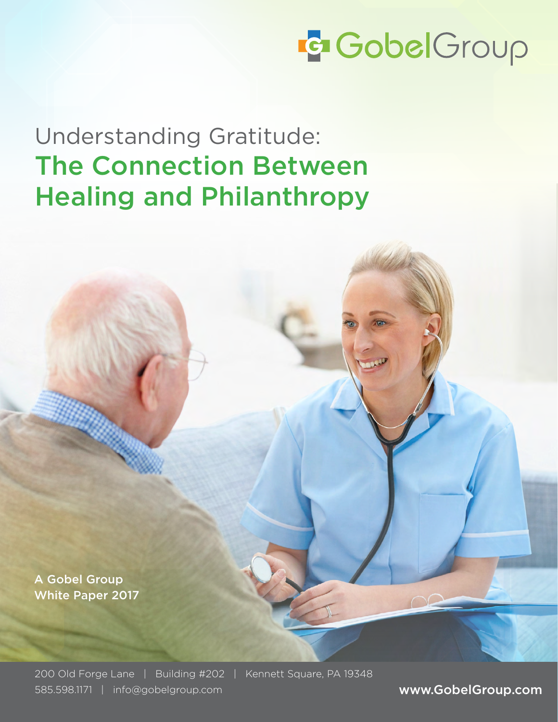# **G** GobelGroup

Understanding Gratitude: The Connection Between Healing and Philanthropy

A Gobel Group White Paper 2017

200 Old Forge Lane | Building #202 | Kennett Square, PA 19348 585.598.1171 | info@gobelgroup.com www.GobelGroup.com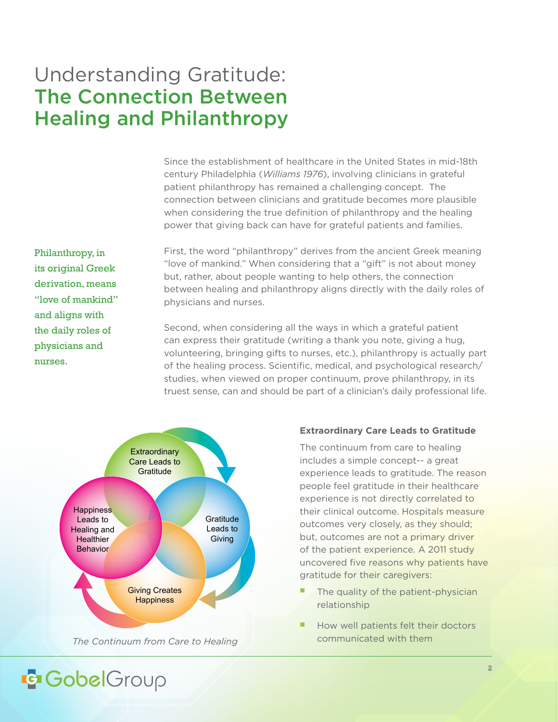### Understanding Gratitude: The Connection Between Healing and Philanthropy

Since the establishment of healthcare in the United States in mid-18th century Philadelphia (*Williams 1976*), involving clinicians in grateful patient philanthropy has remained a challenging concept. The connection between clinicians and gratitude becomes more plausible when considering the true definition of philanthropy and the healing power that giving back can have for grateful patients and families.

Philanthropy, in its original Greek derivation, means "love of mankind" and aligns with the daily roles of physicians and nurses.

First, the word "philanthropy" derives from the ancient Greek meaning "love of mankind." When considering that a "gift" is not about money but, rather, about people wanting to help others, the connection between healing and philanthropy aligns directly with the daily roles of physicians and nurses.

Second, when considering all the ways in which a grateful patient can express their gratitude (writing a thank you note, giving a hug, volunteering, bringing gifts to nurses, etc.), philanthropy is actually part of the healing process. Scientific, medical, and psychological research/ studies, when viewed on proper continuum, prove philanthropy, in its truest sense, can and should be part of a clinician's daily professional life.



*The Continuum from Care to Healing* **Communicated with them** 

#### **Extraordinary Care Leads to Gratitude**

The continuum from care to healing includes a simple concept-- a great experience leads to gratitude. The reason people feel gratitude in their healthcare experience is not directly correlated to their clinical outcome. Hospitals measure outcomes very closely, as they should; but, outcomes are not a primary driver of the patient experience. A 2011 study uncovered five reasons why patients have gratitude for their caregivers:

- The quality of the patient-physician relationship
- How well patients felt their doctors

### **IG GobelGroup**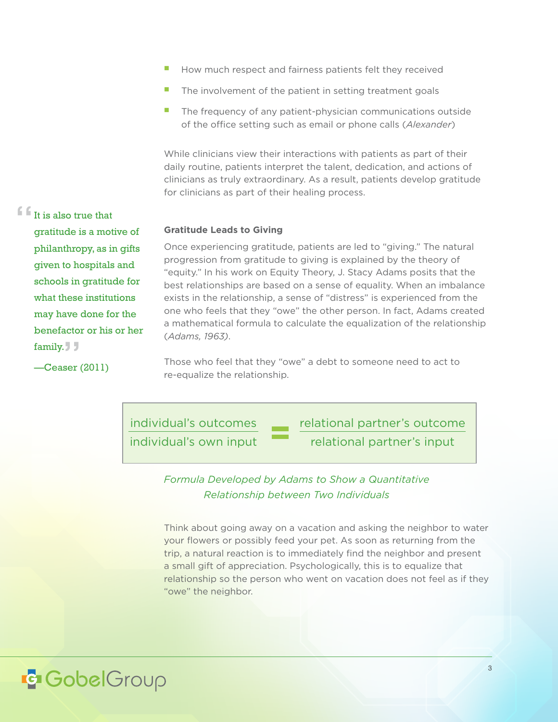- $\blacksquare$  How much respect and fairness patients felt they received
- $\blacksquare$  The involvement of the patient in setting treatment goals
- The frequency of any patient-physician communications outside of the office setting such as email or phone calls (*Alexander*)

While clinicians view their interactions with patients as part of their daily routine, patients interpret the talent, dedication, and actions of clinicians as truly extraordinary. As a result, patients develop gratitude for clinicians as part of their healing process.

#### **Gratitude Leads to Giving**

Once experiencing gratitude, patients are led to "giving." The natural progression from gratitude to giving is explained by the theory of "equity." In his work on Equity Theory, J. Stacy Adams posits that the best relationships are based on a sense of equality. When an imbalance exists in the relationship, a sense of "distress" is experienced from the one who feels that they "owe" the other person. In fact, Adams created a mathematical formula to calculate the equalization of the relationship (*Adams, 1963)*.

Those who feel that they "owe" a debt to someone need to act to re-equalize the relationship.

individual's outcomes individual's own input relational partner's outcome relational partner's input

*Formula Developed by Adams to Show a Quantitative Relationship between Two Individuals*

Think about going away on a vacation and asking the neighbor to water your flowers or possibly feed your pet. As soon as returning from the trip, a natural reaction is to immediately find the neighbor and present a small gift of appreciation. Psychologically, this is to equalize that relationship so the person who went on vacation does not feel as if they "owe" the neighbor.

gratitude is a motive of philanthropy, as in gifts given to hospitals and schools in gratitude for what these institutions may have done for the benefactor or his or her family.

 $\blacksquare$ It is also true that

—Ceaser (2011)

### **E** GobelGroup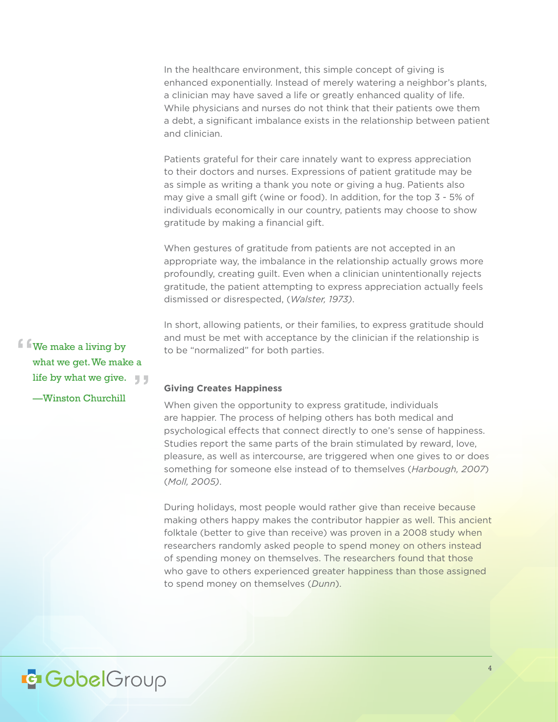In the healthcare environment, this simple concept of giving is enhanced exponentially. Instead of merely watering a neighbor's plants, a clinician may have saved a life or greatly enhanced quality of life. While physicians and nurses do not think that their patients owe them a debt, a significant imbalance exists in the relationship between patient and clinician.

Patients grateful for their care innately want to express appreciation to their doctors and nurses. Expressions of patient gratitude may be as simple as writing a thank you note or giving a hug. Patients also may give a small gift (wine or food). In addition, for the top 3 - 5% of individuals economically in our country, patients may choose to show gratitude by making a financial gift.

When gestures of gratitude from patients are not accepted in an appropriate way, the imbalance in the relationship actually grows more profoundly, creating guilt. Even when a clinician unintentionally rejects gratitude, the patient attempting to express appreciation actually feels dismissed or disrespected, (*Walster, 1973)*.

In short, allowing patients, or their families, to express gratitude should and must be met with acceptance by the clinician if the relationship is to be "normalized" for both parties.

#### **Giving Creates Happiness**

When given the opportunity to express gratitude, individuals are happier. The process of helping others has both medical and psychological effects that connect directly to one's sense of happiness. Studies report the same parts of the brain stimulated by reward, love, pleasure, as well as intercourse, are triggered when one gives to or does something for someone else instead of to themselves (*Harbough, 2007*) (*Moll, 2005)*.

During holidays, most people would rather give than receive because making others happy makes the contributor happier as well. This ancient folktale (better to give than receive) was proven in a 2008 study when researchers randomly asked people to spend money on others instead of spending money on themselves. The researchers found that those who gave to others experienced greater happiness than those assigned to spend money on themselves (*Dunn*).

We make a living by what we get. We make a life by what we give.

—Winston Churchill

### **IG GobelGroup**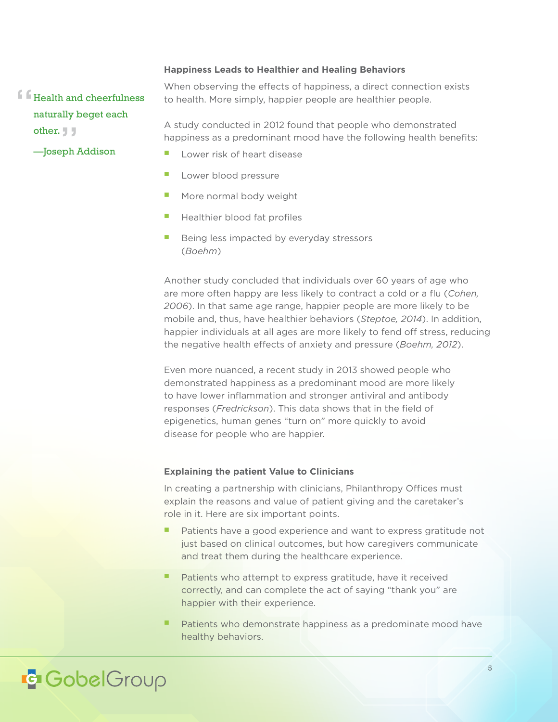#### **Happiness Leads to Healthier and Healing Behaviors**

**f Health and cheerfulness** naturally beget each other. J J

—Joseph Addison

When observing the effects of happiness, a direct connection exists to health. More simply, happier people are healthier people.

A study conducted in 2012 found that people who demonstrated happiness as a predominant mood have the following health benefits:

- $\blacksquare$  Lower risk of heart disease
- **Lower blood pressure**
- $\blacksquare$  More normal body weight
- Healthier blood fat profiles
- $\blacksquare$  Being less impacted by everyday stressors (*Boehm*)

Another study concluded that individuals over 60 years of age who are more often happy are less likely to contract a cold or a flu (*Cohen, 2006*). In that same age range, happier people are more likely to be mobile and, thus, have healthier behaviors (*Steptoe, 2014*). In addition, happier individuals at all ages are more likely to fend off stress, reducing the negative health effects of anxiety and pressure (*Boehm, 2012*).

Even more nuanced, a recent study in 2013 showed people who demonstrated happiness as a predominant mood are more likely to have lower inflammation and stronger antiviral and antibody responses (*Fredrickson*). This data shows that in the field of epigenetics, human genes "turn on" more quickly to avoid disease for people who are happier.

#### **Explaining the patient Value to Clinicians**

In creating a partnership with clinicians, Philanthropy Offices must explain the reasons and value of patient giving and the caretaker's role in it. Here are six important points.

- Patients have a good experience and want to express gratitude not just based on clinical outcomes, but how caregivers communicate and treat them during the healthcare experience.
- Patients who attempt to express gratitude, have it received correctly, and can complete the act of saying "thank you" are happier with their experience.
- Patients who demonstrate happiness as a predominate mood have healthy behaviors.

### **E** GobelGroup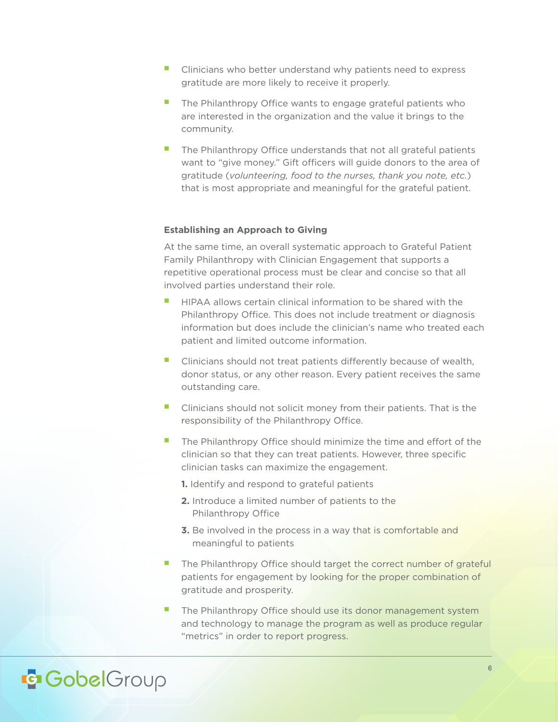- $\blacksquare$  Clinicians who better understand why patients need to express gratitude are more likely to receive it properly.
- **n** The Philanthropy Office wants to engage grateful patients who are interested in the organization and the value it brings to the community.
- $\blacksquare$  The Philanthropy Office understands that not all grateful patients want to "give money." Gift officers will guide donors to the area of gratitude (*volunteering, food to the nurses, thank you note, etc.*) that is most appropriate and meaningful for the grateful patient.

#### **Establishing an Approach to Giving**

At the same time, an overall systematic approach to Grateful Patient Family Philanthropy with Clinician Engagement that supports a repetitive operational process must be clear and concise so that all involved parties understand their role.

- n HIPAA allows certain clinical information to be shared with the Philanthropy Office. This does not include treatment or diagnosis information but does include the clinician's name who treated each patient and limited outcome information.
- Clinicians should not treat patients differently because of wealth, donor status, or any other reason. Every patient receives the same outstanding care.
- n Clinicians should not solicit money from their patients. That is the responsibility of the Philanthropy Office.
- The Philanthropy Office should minimize the time and effort of the clinician so that they can treat patients. However, three specific clinician tasks can maximize the engagement.

**1.** Identify and respond to grateful patients

- **2.** Introduce a limited number of patients to the Philanthropy Office
- **3.** Be involved in the process in a way that is comfortable and meaningful to patients
- The Philanthropy Office should target the correct number of grateful patients for engagement by looking for the proper combination of gratitude and prosperity.
- The Philanthropy Office should use its donor management system and technology to manage the program as well as produce regular "metrics" in order to report progress.

### **IG GobelGroup**